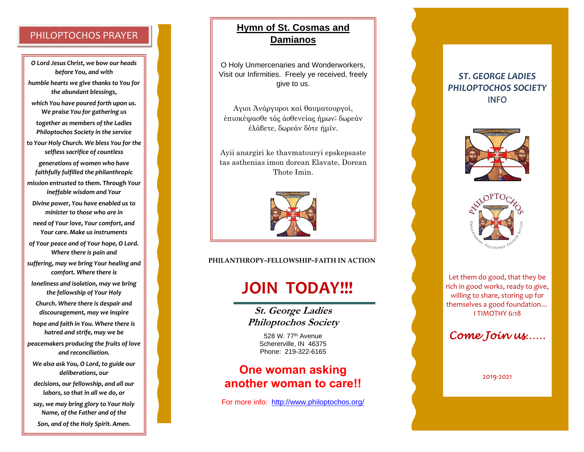## PHILOPTOCHOS PRAYER

*O Lord Jesus Christ, we bow our heads before You, and with*

*humble hearts we give thanks to You for the abundant blessings,*

*which You have poured forth upon us. We praise You for gathering us*

*together as members of the Ladies Philoptochos Society in the service*

*to Your Holy Church. We bless You for the selfless sacrifice of countless*

*generations of women who have faithfully fulfilled the philanthropic*

*mission entrusted to them. Through Your ineffable wisdom and Your*

*Divine power, You have enabled us to minister to those who are in*

*need of Your love, Your comfort, and Your care. Make us instruments*

*of Your peace and of Your hope, O Lord. Where there is pain and*

*suffering, may we bring Your healing and comfort. Where there is*

*loneliness and isolation, may we bring the fellowship of Your Holy*

*Church. Where there is despair and discouragement, may we inspire*

*hope and faith in You. Where there is hatred and strife, may we be*

*peacemakers producing the fruits of love and reconciliation.*

*We also ask You, O Lord, to guide our deliberations, our*

*decisions, our fellowship, and all our labors, so that in all we do, or*

*say, we may bring glory to Your Holy Name, of the Father and of the Son, and of the Holy Spirit. Amen.*

## **Hymn of St. Cosmas and Damianos**

O Holy Unmercenaries and Wonderworkers, Visit our Infirmities. Freely ye received, freely give to us.

Αγ ιοι Άνάργυροι καί θαυματουργοί, έπισκέψασθε τάς άσθενείας ήμων; δωρεάν έλάβετε, δωρεάν δότε ήμϊν.

Ayii anargiri ke thavmatouryi epskepsaste tas asthenias imon dorean Elavate, Dorean Thote Imin.



**PHILANTHROPY~FELLOWSHIP~FAITH IN ACTION**

# **JOIN TODAY!!!**

**St. George Ladies Philoptochos Society**

> 528 W. 77<sup>th</sup> Avenue Schererville, IN 46375 Phone: 219 -322 -6165

## **One woman asking another woman to care!!**

For more info: [http://www.philoptochos.org/](about:blank)

## *ST. GEORGE LADIES PHILOPTOCHOS SOCIETY* INFO





Let them do good, that they be rich in good works, ready to give, willing to share, storing up for themselves a good foundation… I TIMOTHY 6:18

*Come Join us……* 

2019 -2021